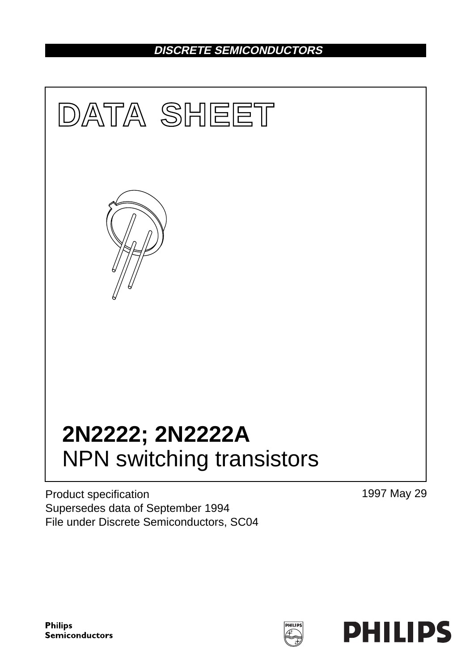## **DISCRETE SEMICONDUCTORS**



Product specification Supersedes data of September 1994 File under Discrete Semiconductors, SC04 1997 May 29

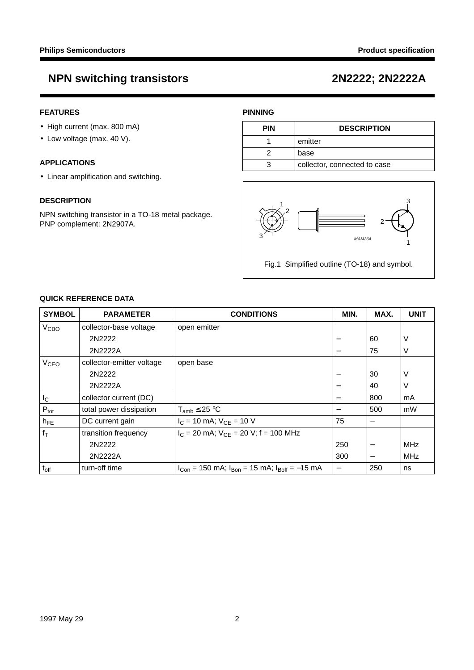### **FEATURES**

- High current (max. 800 mA)
- Low voltage (max. 40 V).

#### **APPLICATIONS**

• Linear amplification and switching.

#### **DESCRIPTION**

NPN switching transistor in a TO-18 metal package. PNP complement: 2N2907A.

### **PINNING**

| <b>PIN</b> | <b>DESCRIPTION</b>           |
|------------|------------------------------|
|            | emitter                      |
|            | base                         |
|            | collector, connected to case |



Fig.1 Simplified outline (TO-18) and symbol.

### **QUICK REFERENCE DATA**

| <b>SYMBOL</b>    | <b>PARAMETER</b>          | <b>CONDITIONS</b>                                          | MIN.                     | MAX.                     | <b>UNIT</b> |
|------------------|---------------------------|------------------------------------------------------------|--------------------------|--------------------------|-------------|
| V <sub>CBO</sub> | collector-base voltage    | open emitter                                               |                          |                          |             |
|                  | 2N2222                    |                                                            |                          | 60                       | V           |
|                  | 2N2222A                   |                                                            |                          | 75                       | V           |
| V <sub>CEO</sub> | collector-emitter voltage | open base                                                  |                          |                          |             |
|                  | 2N2222                    |                                                            |                          | 30                       | V           |
|                  | 2N2222A                   |                                                            |                          | 40                       | V           |
| $I_{\rm C}$      | collector current (DC)    |                                                            |                          | 800                      | mA          |
| $P_{\text{tot}}$ | total power dissipation   | $T_{amb} \leq 25 °C$                                       |                          | 500                      | mW          |
| $h_{FE}$         | DC current gain           | $I_C = 10$ mA; $V_{CE} = 10$ V                             | 75                       |                          |             |
| $ f_T $          | transition frequency      | $I_C = 20$ mA; $V_{CF} = 20$ V; f = 100 MHz                |                          |                          |             |
|                  | 2N2222                    |                                                            | 250                      | $\overline{\phantom{m}}$ | <b>MHz</b>  |
|                  | 2N2222A                   |                                                            | 300                      |                          | <b>MHz</b>  |
| $t_{off}$        | turn-off time             | $I_{Con}$ = 150 mA; $I_{Bon}$ = 15 mA; $I_{Boff}$ = -15 mA | $\overline{\phantom{0}}$ | 250                      | ns          |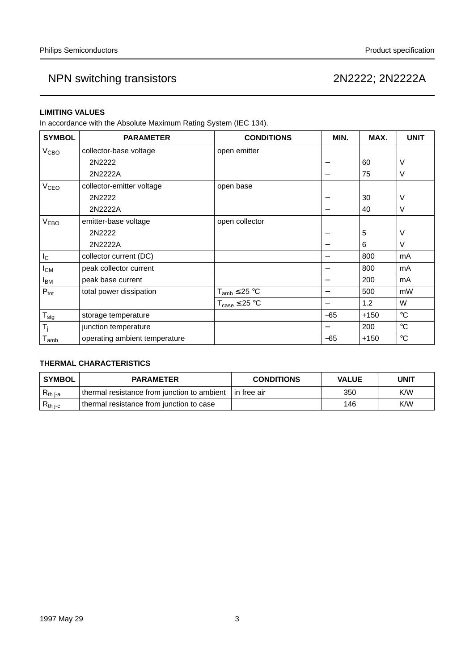#### **LIMITING VALUES**

In accordance with the Absolute Maximum Rating System (IEC 134).

| <b>SYMBOL</b>           | <b>PARAMETER</b>              | <b>CONDITIONS</b>     | MIN.                     | MAX.   | <b>UNIT</b>     |
|-------------------------|-------------------------------|-----------------------|--------------------------|--------|-----------------|
| V <sub>CBO</sub>        | collector-base voltage        | open emitter          |                          |        |                 |
|                         | 2N2222                        |                       |                          | 60     | ν               |
|                         | 2N2222A                       |                       | —                        | 75     | V               |
| <b>V<sub>CEO</sub></b>  | collector-emitter voltage     | open base             |                          |        |                 |
|                         | 2N2222                        |                       |                          | 30     | ν               |
|                         | 2N2222A                       |                       | $\overline{\phantom{0}}$ | 40     | V               |
| V <sub>EBO</sub>        | emitter-base voltage          | open collector        |                          |        |                 |
|                         | 2N2222                        |                       | -                        | 5      | V               |
|                         | 2N2222A                       |                       |                          | 6      | V               |
| $I_{\rm C}$             | collector current (DC)        |                       | $\overline{\phantom{0}}$ | 800    | mA              |
| $I_{CM}$                | peak collector current        |                       | —                        | 800    | mA              |
| <b>I</b> BM             | peak base current             |                       | —                        | 200    | mA              |
| $P_{\text{tot}}$        | total power dissipation       | $T_{amb} \leq 25 °C$  | —                        | 500    | mW              |
|                         |                               | $T_{case} \leq 25 °C$ | —                        | 1.2    | W               |
| $T_{\text{stg}}$        | storage temperature           |                       | $-65$                    | $+150$ | $\rm ^{\circ}C$ |
| $\mathsf{T}_\mathsf{i}$ | junction temperature          |                       | —                        | 200    | $\rm ^{\circ}C$ |
| $T_{\text{amb}}$        | operating ambient temperature |                       | -65                      | $+150$ | $\rm ^{\circ}C$ |

### **THERMAL CHARACTERISTICS**

| <b>SYMBOL</b> | <b>PARAMETER</b>                            | <b>CONDITIONS</b> | <b>VALUE</b> | UNIT |
|---------------|---------------------------------------------|-------------------|--------------|------|
| $R_{th\,j-a}$ | thermal resistance from junction to ambient | l in free air     | 350          | K/W  |
| $R_{th\ j-c}$ | thermal resistance from junction to case    |                   | 146          | K/W  |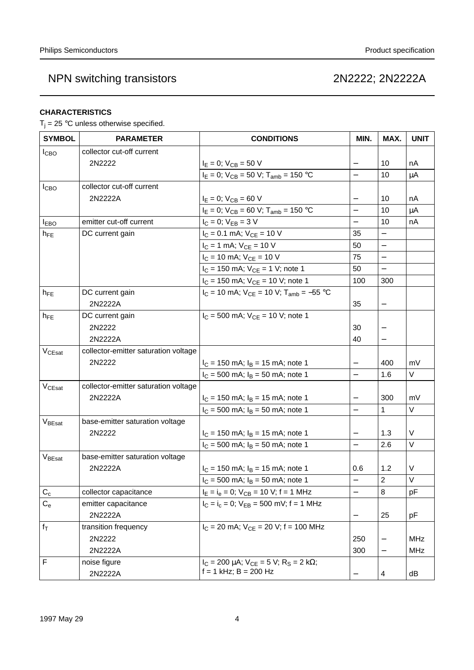### **CHARACTERISTICS**

 $T_i = 25$  °C unless otherwise specified.

| <b>SYMBOL</b>      | <b>PARAMETER</b>                     | <b>CONDITIONS</b>                                        | MIN.                     | MAX.                     | <b>UNIT</b> |
|--------------------|--------------------------------------|----------------------------------------------------------|--------------------------|--------------------------|-------------|
| <b>I</b> CBO       | collector cut-off current            |                                                          |                          |                          |             |
|                    | 2N2222                               | $I_E = 0$ ; $V_{CB} = 50$ V                              | $\qquad \qquad -$        | 10                       | nA          |
|                    |                                      | $I_E = 0$ ; $V_{CB} = 50$ V; $T_{amb} = 150$ °C          |                          | 10                       | μA          |
| ICBO               | collector cut-off current            |                                                          |                          |                          |             |
|                    | 2N2222A                              | $I_E = 0$ ; $V_{CB} = 60$ V                              |                          | 10                       | nA          |
|                    |                                      | $I_E = 0$ ; $V_{CB} = 60$ V; $T_{amb} = 150$ °C          | $\overline{\phantom{0}}$ | 10                       | $\mu$ A     |
| <b>IEBO</b>        | emitter cut-off current              | $I_C = 0$ ; $V_{EB} = 3 V$                               | $\overline{\phantom{0}}$ | 10                       | nA          |
| $h_{FE}$           | DC current gain                      | $I_C = 0.1$ mA; $V_{CE} = 10$ V                          | 35                       |                          |             |
|                    |                                      | $I_C = 1$ mA; $V_{CE} = 10$ V                            | 50                       | $\overline{\phantom{0}}$ |             |
|                    |                                      | $I_C = 10$ mA; $V_{CE} = 10$ V                           | 75                       | $\overline{\phantom{0}}$ |             |
|                    |                                      | $I_C = 150$ mA; $V_{CE} = 1$ V; note 1                   | 50                       | $\overline{\phantom{0}}$ |             |
|                    |                                      | $I_C = 150$ mA; $V_{CE} = 10$ V; note 1                  | 100                      | 300                      |             |
| $h_{FE}$           | DC current gain                      | $I_C = 10$ mA; $V_{CE} = 10$ V; $T_{amb} = -55$ °C       |                          |                          |             |
|                    | 2N2222A                              |                                                          | 35                       | —                        |             |
| $h_{FE}$           | DC current gain                      | $I_C = 500$ mA; $V_{CE} = 10$ V; note 1                  |                          |                          |             |
|                    | 2N2222                               |                                                          | 30                       |                          |             |
|                    | 2N2222A                              |                                                          | 40                       |                          |             |
| V <sub>CEsat</sub> | collector-emitter saturation voltage |                                                          |                          |                          |             |
|                    | 2N2222                               | $I_C = 150$ mA; $I_B = 15$ mA; note 1                    | $\overline{\phantom{0}}$ | 400                      | mV          |
|                    |                                      | $I_C = 500$ mA; $I_B = 50$ mA; note 1                    | $\overline{\phantom{0}}$ | 1.6                      | V           |
| $V_{CEsat}$        | collector-emitter saturation voltage |                                                          |                          |                          |             |
|                    | 2N2222A                              | $I_C = 150$ mA; $I_B = 15$ mA; note 1                    |                          | 300                      | mV          |
|                    |                                      | $I_C = 500$ mA; $I_B = 50$ mA; note 1                    |                          | $\mathbf{1}$             | $\vee$      |
| VBEsat             | base-emitter saturation voltage      |                                                          |                          |                          |             |
|                    | 2N2222                               | $I_C = 150$ mA; $I_B = 15$ mA; note 1                    |                          | 1.3                      | $\sf V$     |
|                    |                                      | $I_C = 500$ mA; $I_B = 50$ mA; note 1                    | $\qquad \qquad -$        | 2.6                      | V           |
| VBEsat             | base-emitter saturation voltage      |                                                          |                          |                          |             |
|                    | 2N2222A                              | $I_C = 150$ mA; $I_B = 15$ mA; note 1                    | 0.6                      | 1.2                      | V           |
|                    |                                      | $I_C = 500$ mA; $I_B = 50$ mA; note 1                    |                          | $\overline{2}$           | $\sf V$     |
| $C_c$              | collector capacitance                | $I_E = I_e = 0$ ; $V_{CB} = 10$ V; f = 1 MHz             | $\overline{\phantom{0}}$ | 8                        | рF          |
| $C_{e}$            | emitter capacitance                  | $I_C = I_c = 0$ ; $V_{EB} = 500$ mV; f = 1 MHz           |                          |                          |             |
|                    | 2N2222A                              |                                                          | $\qquad \qquad -$        | 25                       | pF          |
| $f_{\mathsf{T}}$   | transition frequency                 | $I_C = 20$ mA; $V_{CE} = 20$ V; f = 100 MHz              |                          |                          |             |
|                    | 2N2222                               |                                                          | 250                      |                          | <b>MHz</b>  |
|                    | 2N2222A                              |                                                          | 300                      | $\overline{\phantom{0}}$ | MHz         |
| F                  | noise figure                         | $I_C = 200 \mu A$ ; $V_{CE} = 5 V$ ; $R_S = 2 k\Omega$ ; |                          |                          |             |
|                    | 2N2222A                              | $f = 1$ kHz; B = 200 Hz                                  | $\qquad \qquad -$        | 4                        | dB          |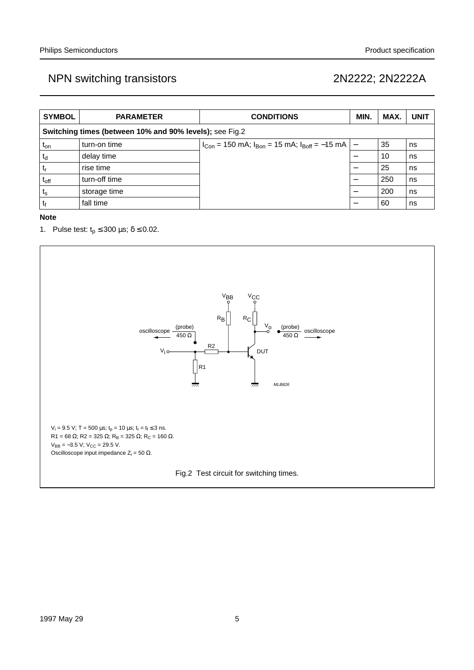| <b>SYMBOL</b>                                           | <b>PARAMETER</b> | <b>CONDITIONS</b>                                              | MIN. | MAX. | <b>UNIT</b> |
|---------------------------------------------------------|------------------|----------------------------------------------------------------|------|------|-------------|
| Switching times (between 10% and 90% levels); see Fig.2 |                  |                                                                |      |      |             |
| t <sub>on</sub>                                         | turn-on time     | $I_{Con}$ = 150 mA; $I_{Bon}$ = 15 mA; $I_{Boff}$ = -15 mA   - |      | 35   | ns          |
| $t_d$                                                   | delay time       |                                                                |      | 10   | ns          |
| $t_{\rm r}$                                             | rise time        |                                                                |      | 25   | ns          |
| $t_{\rm off}$                                           | turn-off time    |                                                                |      | 250  | ns          |
| $t_{s}$                                                 | storage time     |                                                                |      | 200  | ∣ns         |
| t <sub>f</sub>                                          | fall time        |                                                                |      | 60   | ns          |

**Note**

1. Pulse test:  $t_p \le 300 \,\mu s$ ;  $\delta \le 0.02$ .

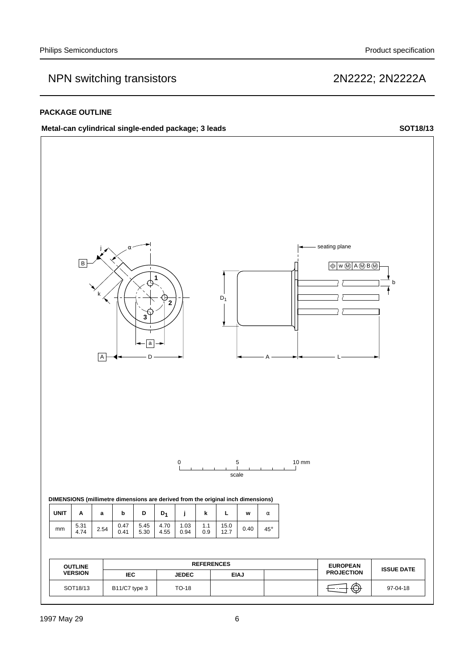#### **PACKAGE OUTLINE**

### Metal-can cylindrical single-ended package; 3 leads SOT18/13

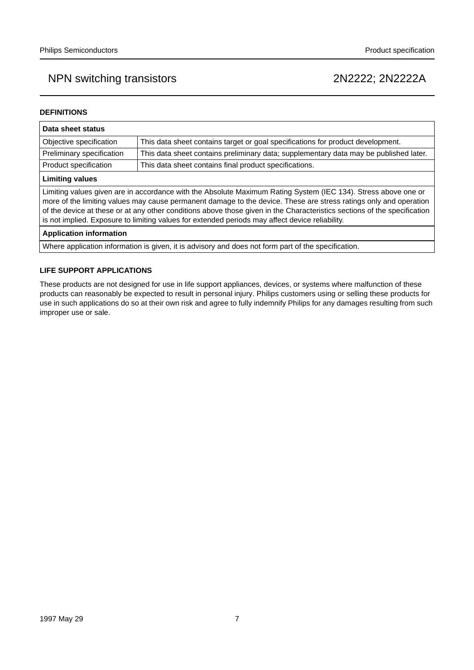#### **DEFINITIONS**

| Data sheet status                                                                                                                                                                                                                                                                                                                                                                                                                                                  |                                                                                       |  |  |
|--------------------------------------------------------------------------------------------------------------------------------------------------------------------------------------------------------------------------------------------------------------------------------------------------------------------------------------------------------------------------------------------------------------------------------------------------------------------|---------------------------------------------------------------------------------------|--|--|
| Objective specification                                                                                                                                                                                                                                                                                                                                                                                                                                            | This data sheet contains target or goal specifications for product development.       |  |  |
| Preliminary specification                                                                                                                                                                                                                                                                                                                                                                                                                                          | This data sheet contains preliminary data; supplementary data may be published later. |  |  |
| Product specification                                                                                                                                                                                                                                                                                                                                                                                                                                              | This data sheet contains final product specifications.                                |  |  |
| <b>Limiting values</b>                                                                                                                                                                                                                                                                                                                                                                                                                                             |                                                                                       |  |  |
| Limiting values given are in accordance with the Absolute Maximum Rating System (IEC 134). Stress above one or<br>more of the limiting values may cause permanent damage to the device. These are stress ratings only and operation<br>of the device at these or at any other conditions above those given in the Characteristics sections of the specification<br>is not implied. Exposure to limiting values for extended periods may affect device reliability. |                                                                                       |  |  |
| <b>Application information</b>                                                                                                                                                                                                                                                                                                                                                                                                                                     |                                                                                       |  |  |
|                                                                                                                                                                                                                                                                                                                                                                                                                                                                    |                                                                                       |  |  |

Where application information is given, it is advisory and does not form part of the specification.

#### **LIFE SUPPORT APPLICATIONS**

These products are not designed for use in life support appliances, devices, or systems where malfunction of these products can reasonably be expected to result in personal injury. Philips customers using or selling these products for use in such applications do so at their own risk and agree to fully indemnify Philips for any damages resulting from such improper use or sale.